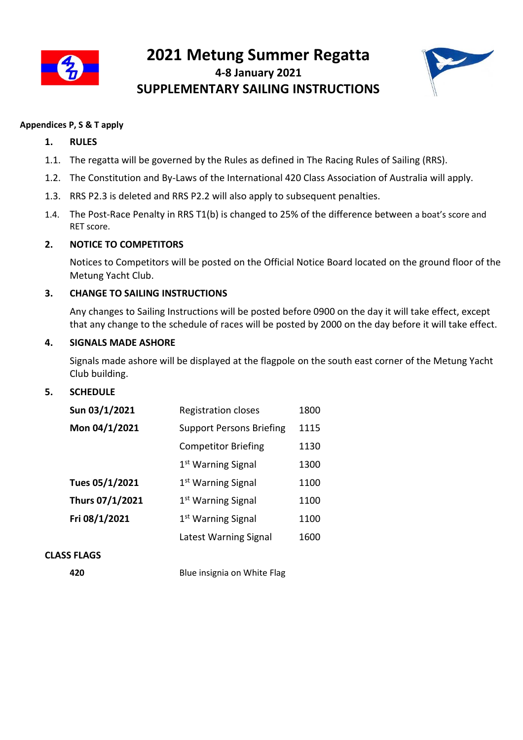

# **2021 Metung Summer Regatta 4-8 January 2021 SUPPLEMENTARY SAILING INSTRUCTIONS**



# **Appendices P, S & T apply**

# **1. RULES**

- 1.1. The regatta will be governed by the Rules as defined in The Racing Rules of Sailing (RRS).
- 1.2. The Constitution and By-Laws of the International 420 Class Association of Australia will apply.
- 1.3. RRS P2.3 is deleted and RRS P2.2 will also apply to subsequent penalties.
- 1.4. The Post-Race Penalty in RRS T1(b) is changed to 25% of the difference between a boat's score and RET score.

# **2. NOTICE TO COMPETITORS**

Notices to Competitors will be posted on the Official Notice Board located on the ground floor of the Metung Yacht Club.

# **3. CHANGE TO SAILING INSTRUCTIONS**

Any changes to Sailing Instructions will be posted before 0900 on the day it will take effect, except that any change to the schedule of races will be posted by 2000 on the day before it will take effect.

# **4. SIGNALS MADE ASHORE**

Signals made ashore will be displayed at the flagpole on the south east corner of the Metung Yacht Club building.

# **5. SCHEDULE**

| Sun 03/1/2021   | <b>Registration closes</b>      | 1800 |
|-----------------|---------------------------------|------|
| Mon 04/1/2021   | <b>Support Persons Briefing</b> | 1115 |
|                 | <b>Competitor Briefing</b>      | 1130 |
|                 | 1 <sup>st</sup> Warning Signal  | 1300 |
| Tues 05/1/2021  | 1 <sup>st</sup> Warning Signal  | 1100 |
| Thurs 07/1/2021 | 1 <sup>st</sup> Warning Signal  | 1100 |
| Fri 08/1/2021   | 1 <sup>st</sup> Warning Signal  | 1100 |
|                 | Latest Warning Signal           | 1600 |
|                 |                                 |      |

# **CLASS FLAGS**

**420** Blue insignia on White Flag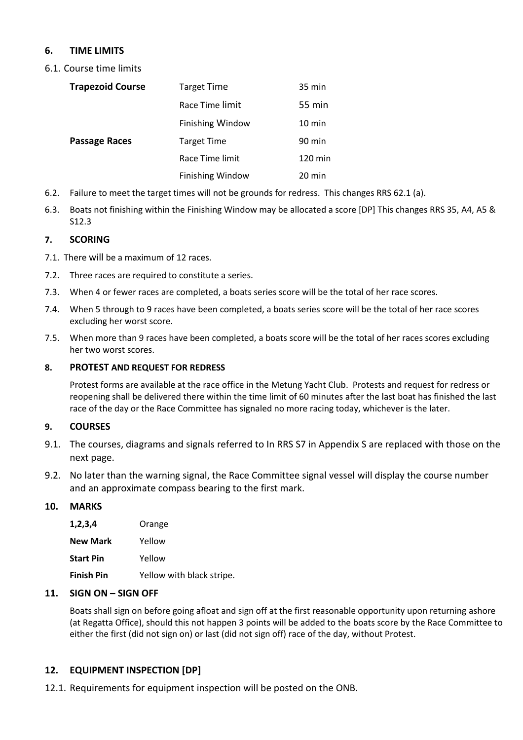# **6. TIME LIMITS**

6.1. Course time limits

| <b>Trapezoid Course</b> | <b>Target Time</b>      | 35 min            |
|-------------------------|-------------------------|-------------------|
|                         | Race Time limit         | 55 min            |
|                         | <b>Finishing Window</b> | $10 \text{ min}$  |
| <b>Passage Races</b>    | <b>Target Time</b>      | 90 min            |
|                         | Race Time limit         | $120 \text{ min}$ |
|                         | <b>Finishing Window</b> | 20 min            |

- 6.2. Failure to meet the target times will not be grounds for redress. This changes RRS 62.1 (a).
- 6.3. Boats not finishing within the Finishing Window may be allocated a score [DP] This changes RRS 35, A4, A5 & S12.3

# **7. SCORING**

- 7.1. There will be a maximum of 12 races.
- 7.2. Three races are required to constitute a series.
- 7.3. When 4 or fewer races are completed, a boats series score will be the total of her race scores.
- 7.4. When 5 through to 9 races have been completed, a boats series score will be the total of her race scores excluding her worst score.
- 7.5. When more than 9 races have been completed, a boats score will be the total of her races scores excluding her two worst scores.

#### **8. PROTEST AND REQUEST FOR REDRESS**

Protest forms are available at the race office in the Metung Yacht Club. Protests and request for redress or reopening shall be delivered there within the time limit of 60 minutes after the last boat has finished the last race of the day or the Race Committee has signaled no more racing today, whichever is the later.

# **9. COURSES**

- 9.1. The courses, diagrams and signals referred to In RRS S7 in Appendix S are replaced with those on the next page.
- 9.2. No later than the warning signal, the Race Committee signal vessel will display the course number and an approximate compass bearing to the first mark.

# **10. MARKS**

| 1,2,3,4           | Orange                    |
|-------------------|---------------------------|
| New Mark          | Yellow                    |
| Start Pin         | Yellow                    |
| <b>Finish Pin</b> | Yellow with black stripe. |

# **11. SIGN ON – SIGN OFF**

Boats shall sign on before going afloat and sign off at the first reasonable opportunity upon returning ashore (at Regatta Office), should this not happen 3 points will be added to the boats score by the Race Committee to either the first (did not sign on) or last (did not sign off) race of the day, without Protest.

# **12. EQUIPMENT INSPECTION [DP]**

12.1. Requirements for equipment inspection will be posted on the ONB.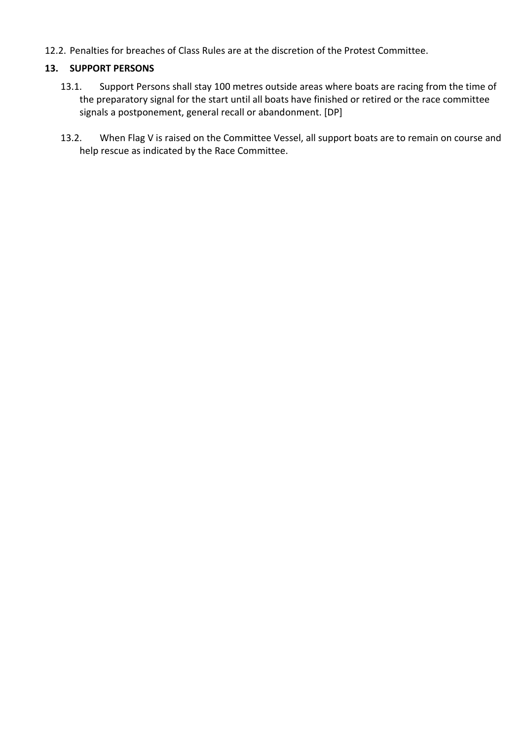12.2. Penalties for breaches of Class Rules are at the discretion of the Protest Committee.

# **13. SUPPORT PERSONS**

- 13.1. Support Persons shall stay 100 metres outside areas where boats are racing from the time of the preparatory signal for the start until all boats have finished or retired or the race committee signals a postponement, general recall or abandonment. [DP]
- 13.2. When Flag V is raised on the Committee Vessel, all support boats are to remain on course and help rescue as indicated by the Race Committee.